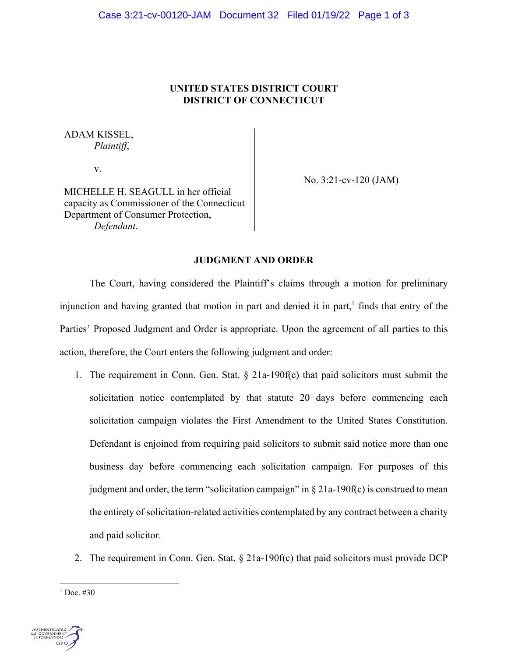## **UNITED STATES DISTRICT COURT DISTRICT OF CONNECTICUT**

# ADAM KISSEL, *Plaintiff*,

v.

No. 3:21-cv-120 (JAM)

MICHELLE H. SEAGULL in her official capacity as Commissioner of the Connecticut Department of Consumer Protection, *Defendant*.

### **JUDGMENT AND ORDER**

 The Court, having considered the Plaintiff's claims through a motion for preliminary injunction and having granted that motion in part and denied it in part, $<sup>1</sup>$  finds that entry of the</sup> Parties' Proposed Judgment and Order is appropriate. Upon the agreement of all parties to this action, therefore, the Court enters the following judgment and order:

- 1. The requirement in Conn. Gen. Stat.  $\S$  21a-190f(c) that paid solicitors must submit the solicitation notice contemplated by that statute 20 days before commencing each solicitation campaign violates the First Amendment to the United States Constitution. Defendant is enjoined from requiring paid solicitors to submit said notice more than one business day before commencing each solicitation campaign. For purposes of this judgment and order, the term "solicitation campaign" in  $\S 21a-190f(c)$  is construed to mean the entirety of solicitation-related activities contemplated by any contract between a charity and paid solicitor.
- 2. The requirement in Conn. Gen. Stat. § 21a-190f(c) that paid solicitors must provide DCP

 $1$  Doc. #30

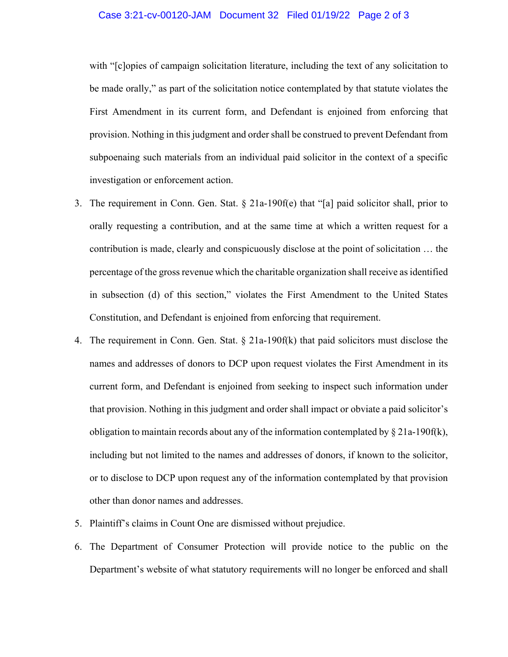#### Case 3:21-cv-00120-JAM Document 32 Filed 01/19/22 Page 2 of 3

with "[c]opies of campaign solicitation literature, including the text of any solicitation to be made orally," as part of the solicitation notice contemplated by that statute violates the First Amendment in its current form, and Defendant is enjoined from enforcing that provision. Nothing in this judgment and order shall be construed to prevent Defendant from subpoenaing such materials from an individual paid solicitor in the context of a specific investigation or enforcement action.

- 3. The requirement in Conn. Gen. Stat.  $\S$  21a-190f(e) that "[a] paid solicitor shall, prior to orally requesting a contribution, and at the same time at which a written request for a contribution is made, clearly and conspicuously disclose at the point of solicitation … the percentage of the gross revenue which the charitable organization shall receive as identified in subsection (d) of this section," violates the First Amendment to the United States Constitution, and Defendant is enjoined from enforcing that requirement.
- 4. The requirement in Conn. Gen. Stat.  $\S$  21a-190f(k) that paid solicitors must disclose the names and addresses of donors to DCP upon request violates the First Amendment in its current form, and Defendant is enjoined from seeking to inspect such information under that provision. Nothing in this judgment and order shall impact or obviate a paid solicitor's obligation to maintain records about any of the information contemplated by  $\S 21a-190f(k)$ , including but not limited to the names and addresses of donors, if known to the solicitor, or to disclose to DCP upon request any of the information contemplated by that provision other than donor names and addresses.
- 5. Plaintiff's claims in Count One are dismissed without prejudice.
- 6. The Department of Consumer Protection will provide notice to the public on the Department's website of what statutory requirements will no longer be enforced and shall